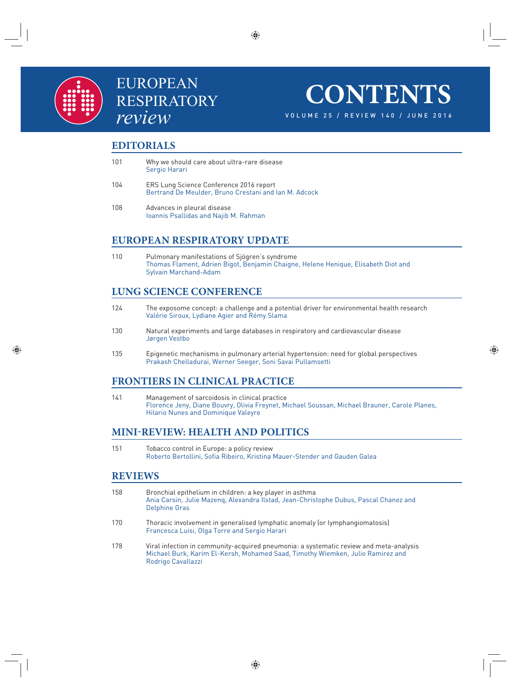

# EUROPEAN RESPIRATORY *review*

**CONTENTS**

VOLUME 25 / REVIEW 140 / JUNE 2016

#### **EDITORIALS**

- 101 Why we should care about ultra-rare disease Sergio Harari
- 104 ERS Lung Science Conference 2016 report Bertrand De Meulder, Bruno Crestani and Ian M. Adcock
- 108 Advances in pleural disease Ioannis Psallidas and Najib M. Rahman

## **EUROPEAN RESPIRATORY UPDATE**

110 Pulmonary manifestations of Sjögren's syndrome Thomas Flament, Adrien Bigot, Benjamin Chaigne, Helene Henique, Elisabeth Diot and Sylvain Marchand-Adam

## **LUNG SCIENCE CONFERENCE**

- 124 The exposome concept: a challenge and a potential driver for environmental health research Valérie Siroux, Lydiane Agier and Rémy Slama
- 130 Natural experiments and large databases in respiratory and cardiovascular disease Jørgen Vestbo
- 135 Epigenetic mechanisms in pulmonary arterial hypertension: need for global perspectives Prakash Chelladurai, Werner Seeger, Soni Savai Pullamsetti

## **FRONTIERS IN CLINICAL PRACTICE**

141 Management of sarcoidosis in clinical practice Florence Jeny, Diane Bouvry, Olivia Freynet, Michael Soussan, Michael Brauner, Carole Planes, Hilario Nunes and Dominique Valeyre

## **MINI-REVIEW: HEALTH AND POLITICS**

151 Tobacco control in Europe: a policy review Roberto Bertollini, Sofia Ribeiro, Kristina Mauer-Stender and Gauden Galea

#### **REVIEWS**

- 158 Bronchial epithelium in children: a key player in asthma Ania Carsin, Julie Mazenq, Alexandra Ilstad, Jean-Christophe Dubus, Pascal Chanez and Delphine Gras
- 170 Thoracic involvement in generalised lymphatic anomaly (or lymphangiomatosis) Francesca Luisi, Olga Torre and Sergio Harari
- 178 Viral infection in community-acquired pneumonia: a systematic review and meta-analysis Michael Burk, Karim El-Kersh, Mohamed Saad, Timothy Wiemken, Julio Ramirez and Rodrigo Cavallazzi